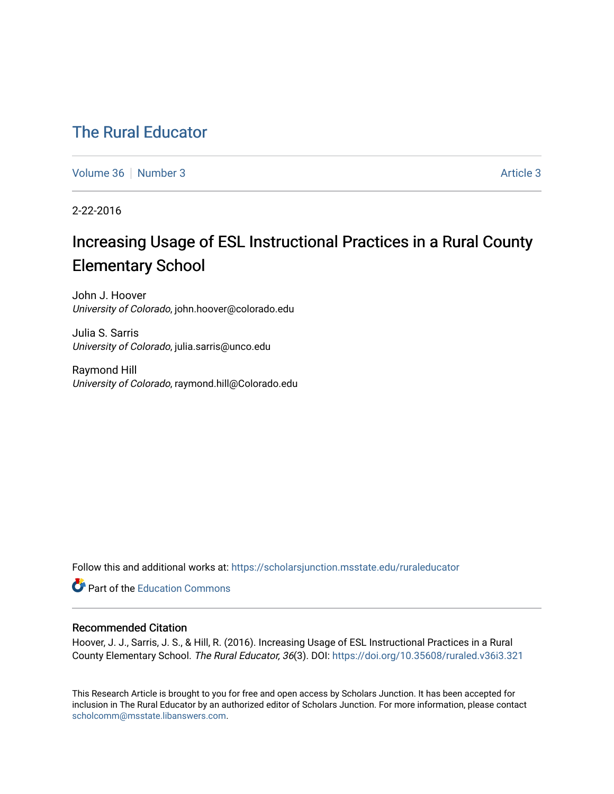# [The Rural Educator](https://scholarsjunction.msstate.edu/ruraleducator)

[Volume 36](https://scholarsjunction.msstate.edu/ruraleducator/vol36) [Number 3](https://scholarsjunction.msstate.edu/ruraleducator/vol36/iss3) [Article 3](https://scholarsjunction.msstate.edu/ruraleducator/vol36/iss3/3) Article 3 Article 3

2-22-2016

# Increasing Usage of ESL Instructional Practices in a Rural County Elementary School

John J. Hoover University of Colorado, john.hoover@colorado.edu

Julia S. Sarris University of Colorado, julia.sarris@unco.edu

Raymond Hill University of Colorado, raymond.hill@Colorado.edu

Follow this and additional works at: [https://scholarsjunction.msstate.edu/ruraleducator](https://scholarsjunction.msstate.edu/ruraleducator?utm_source=scholarsjunction.msstate.edu%2Fruraleducator%2Fvol36%2Fiss3%2F3&utm_medium=PDF&utm_campaign=PDFCoverPages)

**C** Part of the [Education Commons](http://network.bepress.com/hgg/discipline/784?utm_source=scholarsjunction.msstate.edu%2Fruraleducator%2Fvol36%2Fiss3%2F3&utm_medium=PDF&utm_campaign=PDFCoverPages)

# Recommended Citation

Hoover, J. J., Sarris, J. S., & Hill, R. (2016). Increasing Usage of ESL Instructional Practices in a Rural County Elementary School. The Rural Educator, 36(3). DOI: <https://doi.org/10.35608/ruraled.v36i3.321>

This Research Article is brought to you for free and open access by Scholars Junction. It has been accepted for inclusion in The Rural Educator by an authorized editor of Scholars Junction. For more information, please contact [scholcomm@msstate.libanswers.com.](mailto:scholcomm@msstate.libanswers.com)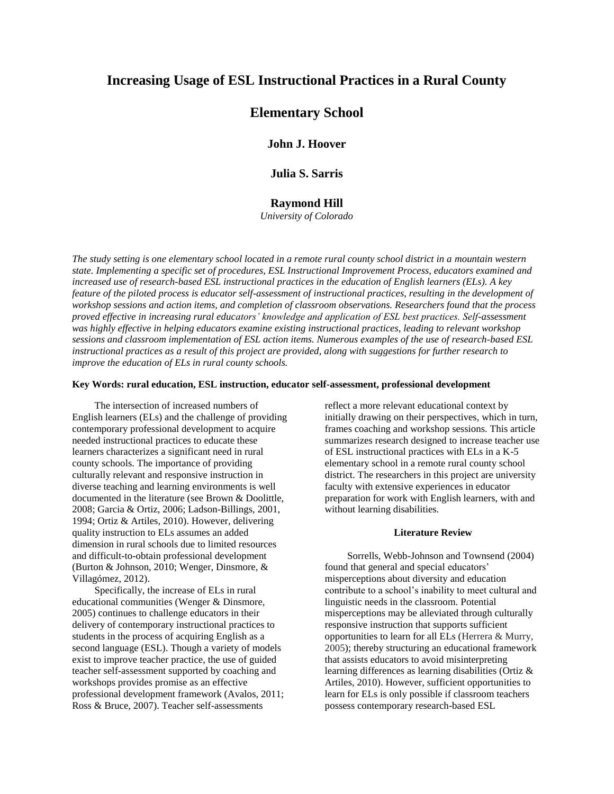# **Increasing Usage of ESL Instructional Practices in a Rural County**

# **Elementary School**

**John J. Hoover**

**Julia S. Sarris**

# **Raymond Hill**

*University of Colorado*

*The study setting is one elementary school located in a remote rural county school district in a mountain western state. Implementing a specific set of procedures, ESL Instructional Improvement Process, educators examined and increased use of research-based ESL instructional practices in the education of English learners (ELs). A key feature of the piloted process is educator self-assessment of instructional practices, resulting in the development of workshop sessions and action items, and completion of classroom observations. Researchers found that the process proved effective in increasing rural educators' knowledge and application of ESL best practices. Self-assessment was highly effective in helping educators examine existing instructional practices, leading to relevant workshop sessions and classroom implementation of ESL action items. Numerous examples of the use of research-based ESL instructional practices as a result of this project are provided, along with suggestions for further research to improve the education of ELs in rural county schools.*

#### **Key Words: rural education, ESL instruction, educator self-assessment, professional development**

The intersection of increased numbers of English learners (ELs) and the challenge of providing contemporary professional development to acquire needed instructional practices to educate these learners characterizes a significant need in rural county schools. The importance of providing culturally relevant and responsive instruction in diverse teaching and learning environments is well documented in the literature (see Brown & Doolittle, 2008; Garcia & Ortiz, 2006; Ladson-Billings, 2001, 1994; Ortiz & Artiles, 2010). However, delivering quality instruction to ELs assumes an added dimension in rural schools due to limited resources and difficult-to-obtain professional development (Burton & Johnson, 2010; Wenger, Dinsmore, & Villagómez, 2012).

Specifically, the increase of ELs in rural educational communities (Wenger & Dinsmore, 2005) continues to challenge educators in their delivery of contemporary instructional practices to students in the process of acquiring English as a second language (ESL). Though a variety of models exist to improve teacher practice, the use of guided teacher self-assessment supported by coaching and workshops provides promise as an effective professional development framework (Avalos, 2011; Ross & Bruce, 2007). Teacher self-assessments

reflect a more relevant educational context by initially drawing on their perspectives, which in turn, frames coaching and workshop sessions. This article summarizes research designed to increase teacher use of ESL instructional practices with ELs in a K-5 elementary school in a remote rural county school district. The researchers in this project are university faculty with extensive experiences in educator preparation for work with English learners, with and without learning disabilities.

#### **Literature Review**

Sorrells, Webb-Johnson and Townsend (2004) found that general and special educators' misperceptions about diversity and education contribute to a school's inability to meet cultural and linguistic needs in the classroom. Potential misperceptions may be alleviated through culturally responsive instruction that supports sufficient opportunities to learn for all ELs (Herrera & Murry, 2005); thereby structuring an educational framework that assists educators to avoid misinterpreting learning differences as learning disabilities (Ortiz & Artiles, 2010). However, sufficient opportunities to learn for ELs is only possible if classroom teachers possess contemporary research-based ESL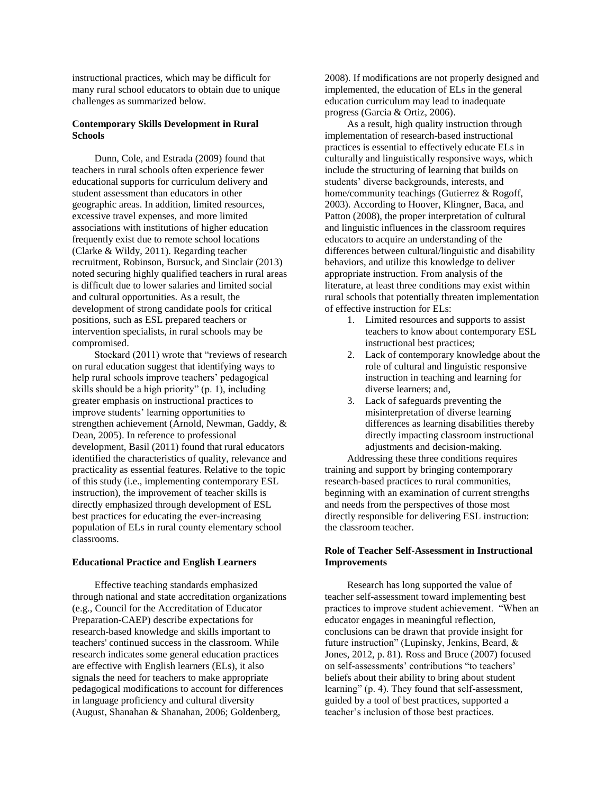instructional practices, which may be difficult for many rural school educators to obtain due to unique challenges as summarized below.

# **Contemporary Skills Development in Rural Schools**

Dunn, Cole, and Estrada (2009) found that teachers in rural schools often experience fewer educational supports for curriculum delivery and student assessment than educators in other geographic areas. In addition, limited resources, excessive travel expenses, and more limited associations with institutions of higher education frequently exist due to remote school locations (Clarke & Wildy, 2011). Regarding teacher recruitment, Robinson, Bursuck, and Sinclair (2013) noted securing highly qualified teachers in rural areas is difficult due to lower salaries and limited social and cultural opportunities. As a result, the development of strong candidate pools for critical positions, such as ESL prepared teachers or intervention specialists, in rural schools may be compromised.

Stockard (2011) wrote that "reviews of research on rural education suggest that identifying ways to help rural schools improve teachers' pedagogical skills should be a high priority" (p. 1), including greater emphasis on instructional practices to improve students' learning opportunities to strengthen achievement (Arnold, Newman, Gaddy, & Dean, 2005). In reference to professional development, Basil (2011) found that rural educators identified the characteristics of quality, relevance and practicality as essential features. Relative to the topic of this study (i.e., implementing contemporary ESL instruction), the improvement of teacher skills is directly emphasized through development of ESL best practices for educating the ever-increasing population of ELs in rural county elementary school classrooms.

# **Educational Practice and English Learners**

Effective teaching standards emphasized through national and state accreditation organizations (e.g., Council for the Accreditation of Educator Preparation-CAEP) describe expectations for research-based knowledge and skills important to teachers' continued success in the classroom. While research indicates some general education practices are effective with English learners (ELs), it also signals the need for teachers to make appropriate pedagogical modifications to account for differences in language proficiency and cultural diversity (August, Shanahan & Shanahan, 2006; Goldenberg,

2008). If modifications are not properly designed and implemented, the education of ELs in the general education curriculum may lead to inadequate progress (Garcia & Ortiz, 2006).

As a result, high quality instruction through implementation of research-based instructional practices is essential to effectively educate ELs in culturally and linguistically responsive ways, which include the structuring of learning that builds on students' diverse backgrounds, interests, and home/community teachings (Gutierrez & Rogoff, 2003). According to Hoover, Klingner, Baca, and Patton (2008), the proper interpretation of cultural and linguistic influences in the classroom requires educators to acquire an understanding of the differences between cultural/linguistic and disability behaviors, and utilize this knowledge to deliver appropriate instruction. From analysis of the literature, at least three conditions may exist within rural schools that potentially threaten implementation of effective instruction for ELs:

- 1. Limited resources and supports to assist teachers to know about contemporary ESL instructional best practices;
- 2. Lack of contemporary knowledge about the role of cultural and linguistic responsive instruction in teaching and learning for diverse learners; and,
- 3. Lack of safeguards preventing the misinterpretation of diverse learning differences as learning disabilities thereby directly impacting classroom instructional adjustments and decision-making.

Addressing these three conditions requires training and support by bringing contemporary research-based practices to rural communities, beginning with an examination of current strengths and needs from the perspectives of those most directly responsible for delivering ESL instruction: the classroom teacher.

# **Role of Teacher Self-Assessment in Instructional Improvements**

Research has long supported the value of teacher self-assessment toward implementing best practices to improve student achievement. "When an educator engages in meaningful reflection, conclusions can be drawn that provide insight for future instruction" (Lupinsky, Jenkins, Beard, & Jones, 2012, p. 81). Ross and Bruce (2007) focused on self-assessments' contributions "to teachers' beliefs about their ability to bring about student learning" (p. 4). They found that self-assessment, guided by a tool of best practices, supported a teacher's inclusion of those best practices.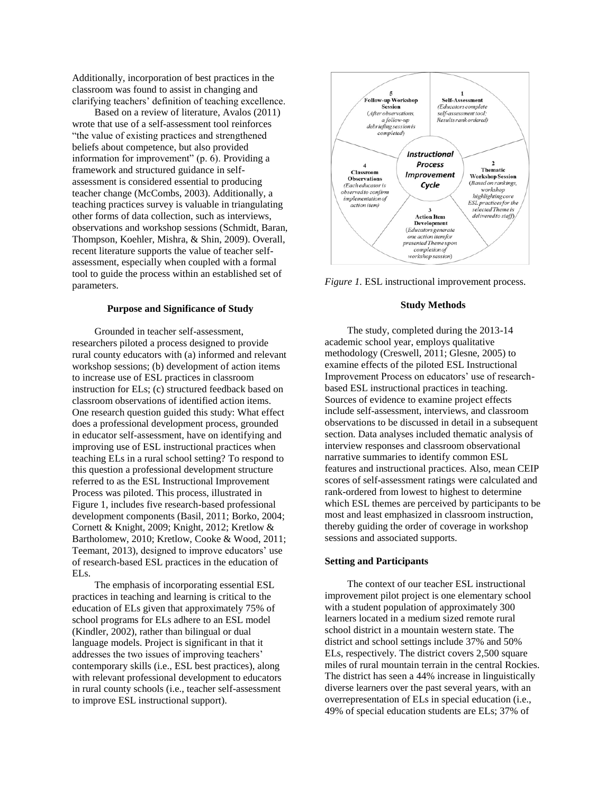Additionally, incorporation of best practices in the classroom was found to assist in changing and clarifying teachers' definition of teaching excellence.

Based on a review of literature, Avalos (2011) wrote that use of a self-assessment tool reinforces "the value of existing practices and strengthened beliefs about competence, but also provided information for improvement" (p. 6). Providing a framework and structured guidance in selfassessment is considered essential to producing teacher change (McCombs, 2003). Additionally, a teaching practices survey is valuable in triangulating other forms of data collection, such as interviews, observations and workshop sessions (Schmidt, Baran, Thompson, Koehler, Mishra, & Shin, 2009). Overall, recent literature supports the value of teacher selfassessment, especially when coupled with a formal tool to guide the process within an established set of parameters.

#### **Purpose and Significance of Study**

Grounded in teacher self-assessment, researchers piloted a process designed to provide rural county educators with (a) informed and relevant workshop sessions; (b) development of action items to increase use of ESL practices in classroom instruction for ELs; (c) structured feedback based on classroom observations of identified action items. One research question guided this study: What effect does a professional development process, grounded in educator self-assessment, have on identifying and improving use of ESL instructional practices when teaching ELs in a rural school setting? To respond to this question a professional development structure referred to as the ESL Instructional Improvement Process was piloted. This process, illustrated in Figure 1, includes five research-based professional development components (Basil, 2011; Borko, 2004; Cornett & Knight, 2009; Knight, 2012; Kretlow & Bartholomew, 2010; Kretlow, Cooke & Wood, 2011; Teemant, 2013), designed to improve educators' use of research-based ESL practices in the education of ELs.

The emphasis of incorporating essential ESL practices in teaching and learning is critical to the education of ELs given that approximately 75% of school programs for ELs adhere to an ESL model (Kindler, 2002), rather than bilingual or dual language models. Project is significant in that it addresses the two issues of improving teachers' contemporary skills (i.e., ESL best practices), along with relevant professional development to educators in rural county schools (i.e., teacher self-assessment to improve ESL instructional support).



*Figure 1.* ESL instructional improvement process.

#### **Study Methods**

The study, completed during the 2013-14 academic school year, employs qualitative methodology (Creswell, 2011; Glesne, 2005) to examine effects of the piloted ESL Instructional Improvement Process on educators' use of researchbased ESL instructional practices in teaching. Sources of evidence to examine project effects include self-assessment, interviews, and classroom observations to be discussed in detail in a subsequent section. Data analyses included thematic analysis of interview responses and classroom observational narrative summaries to identify common ESL features and instructional practices. Also, mean CEIP scores of self-assessment ratings were calculated and rank-ordered from lowest to highest to determine which ESL themes are perceived by participants to be most and least emphasized in classroom instruction, thereby guiding the order of coverage in workshop sessions and associated supports.

# **Setting and Participants**

The context of our teacher ESL instructional improvement pilot project is one elementary school with a student population of approximately 300 learners located in a medium sized remote rural school district in a mountain western state. The district and school settings include 37% and 50% ELs, respectively. The district covers 2,500 square miles of rural mountain terrain in the central Rockies. The district has seen a 44% increase in linguistically diverse learners over the past several years, with an overrepresentation of ELs in special education (i.e., 49% of special education students are ELs; 37% of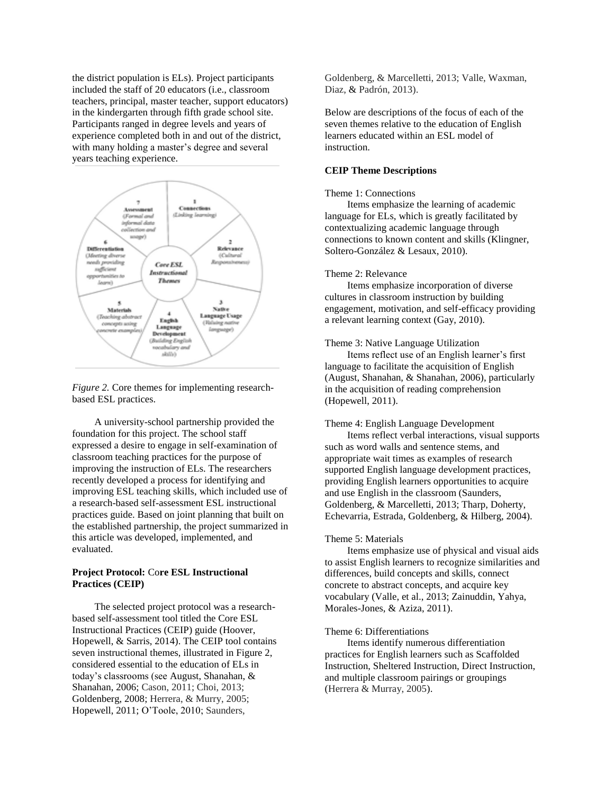the district population is ELs). Project participants included the staff of 20 educators (i.e., classroom teachers, principal, master teacher, support educators) in the kindergarten through fifth grade school site. Participants ranged in degree levels and years of experience completed both in and out of the district, with many holding a master's degree and several years teaching experience.



*Figure 2.* Core themes for implementing researchbased ESL practices.

A university-school partnership provided the foundation for this project. The school staff expressed a desire to engage in self-examination of classroom teaching practices for the purpose of improving the instruction of ELs. The researchers recently developed a process for identifying and improving ESL teaching skills, which included use of a research-based self-assessment ESL instructional practices guide. Based on joint planning that built on the established partnership, the project summarized in this article was developed, implemented, and evaluated.

# **Project Protocol:** Co**re ESL Instructional Practices (CEIP)**

The selected project protocol was a researchbased self-assessment tool titled the Core ESL Instructional Practices (CEIP) guide (Hoover, Hopewell, & Sarris, 2014). The CEIP tool contains seven instructional themes, illustrated in Figure 2, considered essential to the education of ELs in today's classrooms (see August, Shanahan, & Shanahan, 2006; Cason, 2011; Choi, 2013; Goldenberg, 2008; Herrera, & Murry, 2005; Hopewell, 2011; O'Toole, 2010; Saunders,

Goldenberg, & Marcelletti, 2013; Valle, Waxman, Diaz, & Padrón, 2013).

Below are descriptions of the focus of each of the seven themes relative to the education of English learners educated within an ESL model of instruction.

# **CEIP Theme Descriptions**

#### Theme 1: Connections

Items emphasize the learning of academic language for ELs, which is greatly facilitated by contextualizing academic language through connections to known content and skills (Klingner, Soltero-González & Lesaux, 2010).

#### Theme 2: Relevance

Items emphasize incorporation of diverse cultures in classroom instruction by building engagement, motivation, and self-efficacy providing a relevant learning context (Gay, 2010).

#### Theme 3: Native Language Utilization

Items reflect use of an English learner's first language to facilitate the acquisition of English (August, Shanahan, & Shanahan, 2006), particularly in the acquisition of reading comprehension (Hopewell, 2011).

# Theme 4: English Language Development

Items reflect verbal interactions, visual supports such as word walls and sentence stems, and appropriate wait times as examples of research supported English language development practices, providing English learners opportunities to acquire and use English in the classroom (Saunders, Goldenberg, & Marcelletti, 2013; Tharp, Doherty, Echevarria, Estrada, Goldenberg, & Hilberg, 2004).

#### Theme 5: Materials

Items emphasize use of physical and visual aids to assist English learners to recognize similarities and differences, build concepts and skills, connect concrete to abstract concepts, and acquire key vocabulary (Valle, et al., 2013; Zainuddin, Yahya, Morales-Jones, & Aziza, 2011).

#### Theme 6: Differentiations

Items identify numerous differentiation practices for English learners such as Scaffolded Instruction, Sheltered Instruction, Direct Instruction, and multiple classroom pairings or groupings (Herrera & Murray, 2005).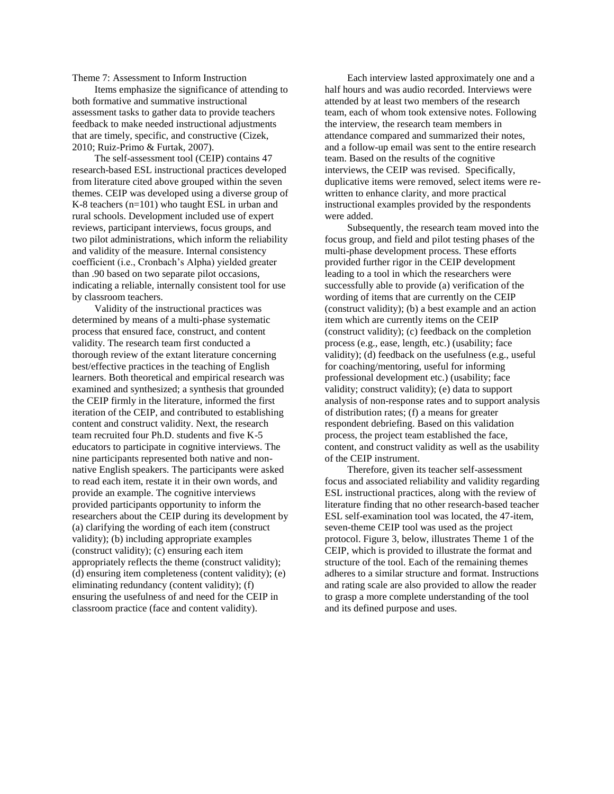Theme 7: Assessment to Inform Instruction

Items emphasize the significance of attending to both formative and summative instructional assessment tasks to gather data to provide teachers feedback to make needed instructional adjustments that are timely, specific, and constructive (Cizek, 2010; Ruiz-Primo & Furtak, 2007).

The self-assessment tool (CEIP) contains 47 research-based ESL instructional practices developed from literature cited above grouped within the seven themes. CEIP was developed using a diverse group of K-8 teachers (n=101) who taught ESL in urban and rural schools. Development included use of expert reviews, participant interviews, focus groups, and two pilot administrations, which inform the reliability and validity of the measure. Internal consistency coefficient (i.e., Cronbach's Alpha) yielded greater than .90 based on two separate pilot occasions, indicating a reliable, internally consistent tool for use by classroom teachers.

Validity of the instructional practices was determined by means of a multi-phase systematic process that ensured face, construct, and content validity. The research team first conducted a thorough review of the extant literature concerning best/effective practices in the teaching of English learners. Both theoretical and empirical research was examined and synthesized; a synthesis that grounded the CEIP firmly in the literature, informed the first iteration of the CEIP, and contributed to establishing content and construct validity. Next, the research team recruited four Ph.D. students and five K-5 educators to participate in cognitive interviews. The nine participants represented both native and nonnative English speakers. The participants were asked to read each item, restate it in their own words, and provide an example. The cognitive interviews provided participants opportunity to inform the researchers about the CEIP during its development by (a) clarifying the wording of each item (construct validity); (b) including appropriate examples (construct validity); (c) ensuring each item appropriately reflects the theme (construct validity); (d) ensuring item completeness (content validity); (e) eliminating redundancy (content validity); (f) ensuring the usefulness of and need for the CEIP in classroom practice (face and content validity).

Each interview lasted approximately one and a half hours and was audio recorded. Interviews were attended by at least two members of the research team, each of whom took extensive notes. Following the interview, the research team members in attendance compared and summarized their notes, and a follow-up email was sent to the entire research team. Based on the results of the cognitive interviews, the CEIP was revised. Specifically, duplicative items were removed, select items were rewritten to enhance clarity, and more practical instructional examples provided by the respondents were added.

Subsequently, the research team moved into the focus group, and field and pilot testing phases of the multi-phase development process. These efforts provided further rigor in the CEIP development leading to a tool in which the researchers were successfully able to provide (a) verification of the wording of items that are currently on the CEIP (construct validity); (b) a best example and an action item which are currently items on the CEIP (construct validity); (c) feedback on the completion process (e.g., ease, length, etc.) (usability; face validity); (d) feedback on the usefulness (e.g., useful for coaching/mentoring, useful for informing professional development etc.) (usability; face validity; construct validity); (e) data to support analysis of non-response rates and to support analysis of distribution rates; (f) a means for greater respondent debriefing. Based on this validation process, the project team established the face, content, and construct validity as well as the usability of the CEIP instrument.

Therefore, given its teacher self-assessment focus and associated reliability and validity regarding ESL instructional practices, along with the review of literature finding that no other research-based teacher ESL self-examination tool was located, the 47-item, seven-theme CEIP tool was used as the project protocol. Figure 3, below, illustrates Theme 1 of the CEIP, which is provided to illustrate the format and structure of the tool. Each of the remaining themes adheres to a similar structure and format. Instructions and rating scale are also provided to allow the reader to grasp a more complete understanding of the tool and its defined purpose and uses.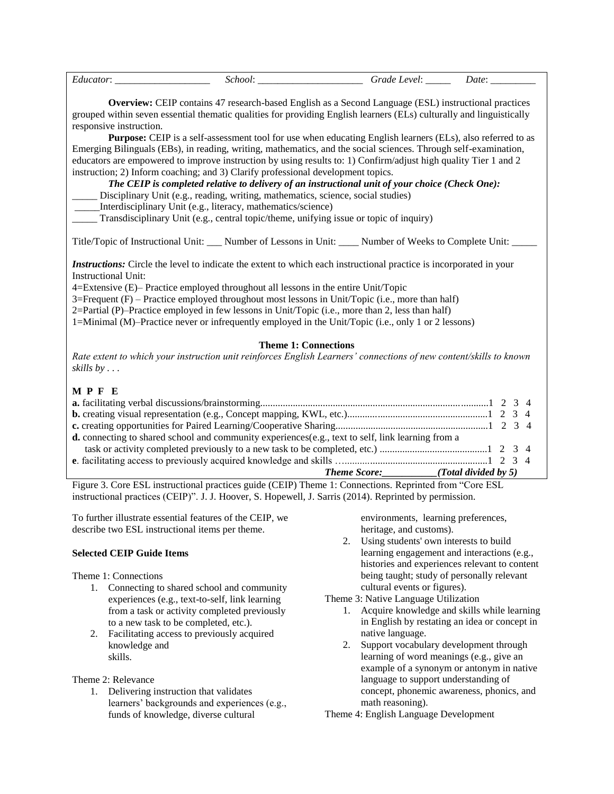|                                                                                                                                                                                                                                                                                                                                                                                                                                                                                                                                                                | School: Grade Level: Date: Date:                                                                                                                                                                                          |  |  |
|----------------------------------------------------------------------------------------------------------------------------------------------------------------------------------------------------------------------------------------------------------------------------------------------------------------------------------------------------------------------------------------------------------------------------------------------------------------------------------------------------------------------------------------------------------------|---------------------------------------------------------------------------------------------------------------------------------------------------------------------------------------------------------------------------|--|--|
| grouped within seven essential thematic qualities for providing English learners (ELs) culturally and linguistically<br>responsive instruction.<br>Emerging Bilinguals (EBs), in reading, writing, mathematics, and the social sciences. Through self-examination,                                                                                                                                                                                                                                                                                             | <b>Overview:</b> CEIP contains 47 research-based English as a Second Language (ESL) instructional practices<br>Purpose: CEIP is a self-assessment tool for use when educating English learners (ELs), also referred to as |  |  |
| educators are empowered to improve instruction by using results to: 1) Confirm/adjust high quality Tier 1 and 2<br>instruction; 2) Inform coaching; and 3) Clarify professional development topics.<br>_____ Disciplinary Unit (e.g., reading, writing, mathematics, science, social studies)<br>_____Interdisciplinary Unit (e.g., literacy, mathematics/science)<br>Transdisciplinary Unit (e.g., central topic/theme, unifying issue or topic of inquiry)                                                                                                   | The CEIP is completed relative to delivery of an instructional unit of your choice (Check One):                                                                                                                           |  |  |
| Title/Topic of Instructional Unit: ____ Number of Lessons in Unit: _____ Number of Weeks to Complete Unit: ___                                                                                                                                                                                                                                                                                                                                                                                                                                                 |                                                                                                                                                                                                                           |  |  |
| <i>Instructions:</i> Circle the level to indicate the extent to which each instructional practice is incorporated in your<br><b>Instructional Unit:</b><br>4=Extensive (E)– Practice employed throughout all lessons in the entire Unit/Topic<br>$3$ =Frequent (F) – Practice employed throughout most lessons in Unit/Topic (i.e., more than half)<br>2=Partial (P)-Practice employed in few lessons in Unit/Topic (i.e., more than 2, less than half)<br>1=Minimal (M)–Practice never or infrequently employed in the Unit/Topic (i.e., only 1 or 2 lessons) |                                                                                                                                                                                                                           |  |  |
| Rate extent to which your instruction unit reinforces English Learners' connections of new content/skills to known<br>skills by $\ldots$                                                                                                                                                                                                                                                                                                                                                                                                                       | <b>Theme 1: Connections</b>                                                                                                                                                                                               |  |  |
| MPFE                                                                                                                                                                                                                                                                                                                                                                                                                                                                                                                                                           |                                                                                                                                                                                                                           |  |  |
|                                                                                                                                                                                                                                                                                                                                                                                                                                                                                                                                                                |                                                                                                                                                                                                                           |  |  |
| d. connecting to shared school and community experiences(e.g., text to self, link learning from a                                                                                                                                                                                                                                                                                                                                                                                                                                                              | Theme Score: (Total divided by 5)                                                                                                                                                                                         |  |  |
| Figure 3. Core ESL instructional practices guide (CEIP) Theme 1: Connections. Reprinted from "Core ESL<br>instructional practices (CEIP)". J. J. Hoover, S. Hopewell, J. Sarris (2014). Reprinted by permission.                                                                                                                                                                                                                                                                                                                                               |                                                                                                                                                                                                                           |  |  |
| To further illustrate essential features of the CEIP, we<br>describe two ESL instructional items per theme.                                                                                                                                                                                                                                                                                                                                                                                                                                                    | environments, learning preferences,<br>heritage, and customs).<br>Using students' own interests to build<br>2.                                                                                                            |  |  |
| <b>Selected CEIP Guide Items</b>                                                                                                                                                                                                                                                                                                                                                                                                                                                                                                                               | learning engagement and interactions (e.g.,<br>histories and experiences relevant to content                                                                                                                              |  |  |

- Theme 1: Connections
	- 1. Connecting to shared school and community experiences (e.g., text-to-self, link learning from a task or activity completed previously to a new task to be completed, etc.).
	- 2. Facilitating access to previously acquired knowledge and skills.

# Theme 2: Relevance

1. Delivering instruction that validates learners' backgrounds and experiences (e.g., funds of knowledge, diverse cultural

being taught; study of personally relevant cultural events or figures).

Theme 3: Native Language Utilization

- 1. Acquire knowledge and skills while learning in English by restating an idea or concept in native language.
- 2. Support vocabulary development through learning of word meanings (e.g., give an example of a synonym or antonym in native language to support understanding of concept, phonemic awareness, phonics, and math reasoning).

Theme 4: English Language Development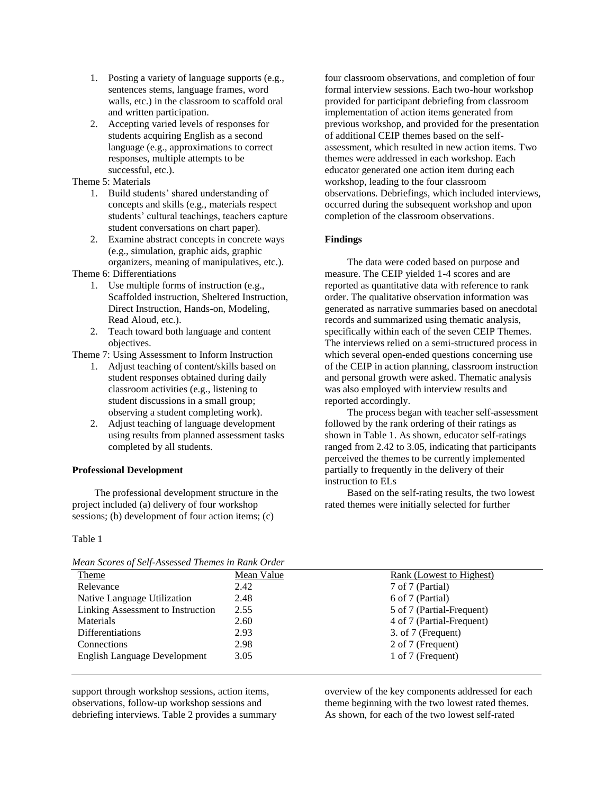- 1. Posting a variety of language supports (e.g., sentences stems, language frames, word walls, etc.) in the classroom to scaffold oral and written participation.
- 2. Accepting varied levels of responses for students acquiring English as a second language (e.g., approximations to correct responses, multiple attempts to be successful, etc.).

# Theme 5: Materials

- 1. Build students' shared understanding of concepts and skills (e.g., materials respect students' cultural teachings, teachers capture student conversations on chart paper).
- 2. Examine abstract concepts in concrete ways (e.g., simulation, graphic aids, graphic organizers, meaning of manipulatives, etc.).

Theme 6: Differentiations

- 1. Use multiple forms of instruction (e.g., Scaffolded instruction, Sheltered Instruction, Direct Instruction, Hands-on, Modeling, Read Aloud, etc.).
- 2. Teach toward both language and content objectives.

Theme 7: Using Assessment to Inform Instruction

- 1. Adjust teaching of content/skills based on student responses obtained during daily classroom activities (e.g., listening to student discussions in a small group; observing a student completing work).
- 2. Adjust teaching of language development using results from planned assessment tasks completed by all students.

#### **Professional Development**

The professional development structure in the project included (a) delivery of four workshop sessions; (b) development of four action items; (c)

#### Table 1

*Mean Scores of Self-Assessed Themes in Rank Order*

four classroom observations, and completion of four formal interview sessions. Each two-hour workshop provided for participant debriefing from classroom implementation of action items generated from previous workshop, and provided for the presentation of additional CEIP themes based on the selfassessment, which resulted in new action items. Two themes were addressed in each workshop. Each educator generated one action item during each workshop, leading to the four classroom observations. Debriefings, which included interviews, occurred during the subsequent workshop and upon completion of the classroom observations.

# **Findings**

The data were coded based on purpose and measure. The CEIP yielded 1-4 scores and are reported as quantitative data with reference to rank order. The qualitative observation information was generated as narrative summaries based on anecdotal records and summarized using thematic analysis, specifically within each of the seven CEIP Themes. The interviews relied on a semi-structured process in which several open-ended questions concerning use of the CEIP in action planning, classroom instruction and personal growth were asked. Thematic analysis was also employed with interview results and reported accordingly.

The process began with teacher self-assessment followed by the rank ordering of their ratings as shown in Table 1. As shown, educator self-ratings ranged from 2.42 to 3.05, indicating that participants perceived the themes to be currently implemented partially to frequently in the delivery of their instruction to ELs

Based on the self-rating results, the two lowest rated themes were initially selected for further

| meun Scores of Sey-Assessed Themes in Runk Order |            |                                 |  |
|--------------------------------------------------|------------|---------------------------------|--|
| <b>Theme</b>                                     | Mean Value | <b>Rank (Lowest to Highest)</b> |  |
| Relevance                                        | 2.42       | 7 of 7 (Partial)                |  |
| Native Language Utilization                      | 2.48       | 6 of 7 (Partial)                |  |
| Linking Assessment to Instruction                | 2.55       | 5 of 7 (Partial-Frequent)       |  |
| Materials                                        | 2.60       | 4 of 7 (Partial-Frequent)       |  |
| Differentiations                                 | 2.93       | 3. of 7 (Frequent)              |  |
| Connections                                      | 2.98       | 2 of 7 (Frequent)               |  |
| <b>English Language Development</b>              | 3.05       | 1 of 7 (Frequent)               |  |
|                                                  |            |                                 |  |

support through workshop sessions, action items, observations, follow-up workshop sessions and debriefing interviews. Table 2 provides a summary overview of the key components addressed for each theme beginning with the two lowest rated themes. As shown, for each of the two lowest self-rated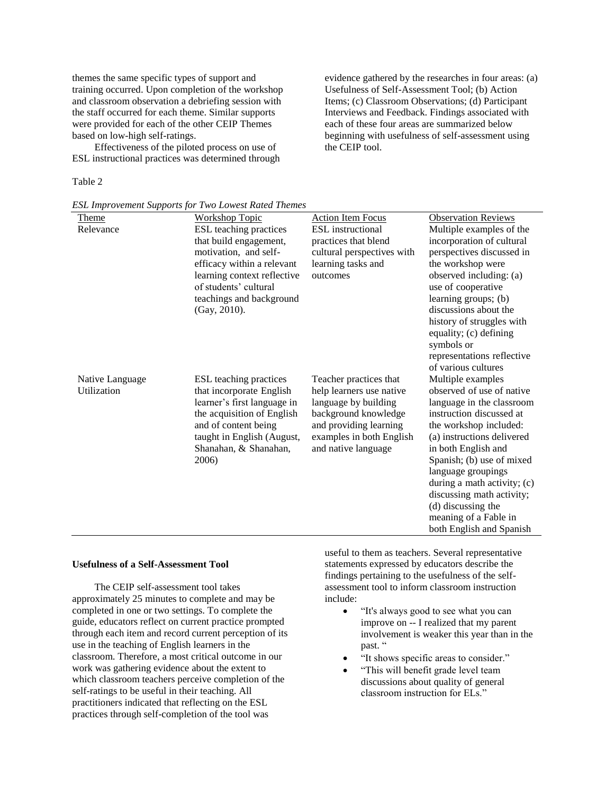themes the same specific types of support and training occurred. Upon completion of the workshop and classroom observation a debriefing session with the staff occurred for each theme. Similar supports were provided for each of the other CEIP Themes based on low-high self-ratings.

Effectiveness of the piloted process on use of ESL instructional practices was determined through

## Table 2

*ESL Improvement Supports for Two Lowest Rated Themes* Theme Workshop Topic Action Item Focus Observation Reviews ESL teaching practices that build engagement, motivation, and selfefficacy within a relevant learning context reflective of students' cultural teachings and background (Gay, 2010). ESL instructional practices that blend cultural perspectives with learning tasks and outcomes Multiple examples of the incorporation of cultural perspectives discussed in the workshop were observed including: (a) use of cooperative learning groups; (b) discussions about the history of struggles with equality; (c) defining symbols or representations reflective of various cultures Native Language Utilization ESL teaching practices that incorporate English learner's first language in the acquisition of English and of content being taught in English (August, Shanahan, & Shanahan, 2006) Teacher practices that help learners use native language by building background knowledge and providing learning examples in both English and native language Multiple examples observed of use of native language in the classroom instruction discussed at the workshop included: (a) instructions delivered in both English and Spanish; (b) use of mixed language groupings during a math activity; (c) discussing math activity; (d) discussing the meaning of a Fable in

# **Usefulness of a Self-Assessment Tool**

The CEIP self-assessment tool takes approximately 25 minutes to complete and may be completed in one or two settings. To complete the guide, educators reflect on current practice prompted through each item and record current perception of its use in the teaching of English learners in the classroom. Therefore, a most critical outcome in our work was gathering evidence about the extent to which classroom teachers perceive completion of the self-ratings to be useful in their teaching. All practitioners indicated that reflecting on the ESL practices through self-completion of the tool was

useful to them as teachers. Several representative statements expressed by educators describe the findings pertaining to the usefulness of the selfassessment tool to inform classroom instruction include:

 "It's always good to see what you can improve on -- I realized that my parent involvement is weaker this year than in the past. "

both English and Spanish

- "It shows specific areas to consider."
- "This will benefit grade level team discussions about quality of general classroom instruction for ELs."

evidence gathered by the researches in four areas: (a) Usefulness of Self-Assessment Tool; (b) Action Items; (c) Classroom Observations; (d) Participant Interviews and Feedback. Findings associated with each of these four areas are summarized below beginning with usefulness of self-assessment using the CEIP tool.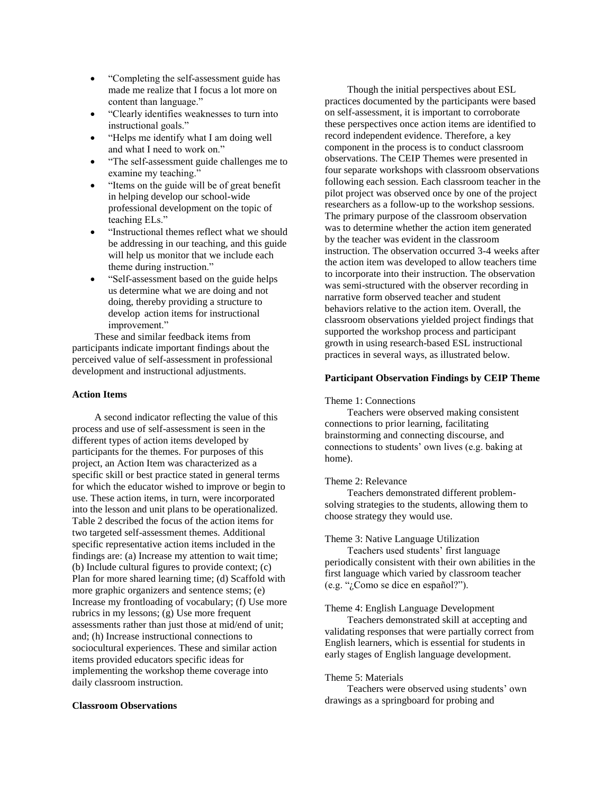- "Completing the self-assessment guide has made me realize that I focus a lot more on content than language."
- "Clearly identifies weaknesses to turn into instructional goals."
- "Helps me identify what I am doing well and what I need to work on."
- "The self-assessment guide challenges me to examine my teaching."
- "Items on the guide will be of great benefit" in helping develop our school-wide professional development on the topic of teaching ELs."
- "Instructional themes reflect what we should be addressing in our teaching, and this guide will help us monitor that we include each theme during instruction."
- "Self-assessment based on the guide helps us determine what we are doing and not doing, thereby providing a structure to develop action items for instructional improvement."

These and similar feedback items from participants indicate important findings about the perceived value of self-assessment in professional development and instructional adjustments.

# **Action Items**

A second indicator reflecting the value of this process and use of self-assessment is seen in the different types of action items developed by participants for the themes. For purposes of this project, an Action Item was characterized as a specific skill or best practice stated in general terms for which the educator wished to improve or begin to use. These action items, in turn, were incorporated into the lesson and unit plans to be operationalized. Table 2 described the focus of the action items for two targeted self-assessment themes. Additional specific representative action items included in the findings are: (a) Increase my attention to wait time; (b) Include cultural figures to provide context; (c) Plan for more shared learning time; (d) Scaffold with more graphic organizers and sentence stems; (e) Increase my frontloading of vocabulary; (f) Use more rubrics in my lessons; (g) Use more frequent assessments rather than just those at mid/end of unit; and; (h) Increase instructional connections to sociocultural experiences. These and similar action items provided educators specific ideas for implementing the workshop theme coverage into daily classroom instruction.

# **Classroom Observations**

Though the initial perspectives about ESL practices documented by the participants were based on self-assessment, it is important to corroborate these perspectives once action items are identified to record independent evidence. Therefore, a key component in the process is to conduct classroom observations. The CEIP Themes were presented in four separate workshops with classroom observations following each session. Each classroom teacher in the pilot project was observed once by one of the project researchers as a follow-up to the workshop sessions. The primary purpose of the classroom observation was to determine whether the action item generated by the teacher was evident in the classroom instruction. The observation occurred 3-4 weeks after the action item was developed to allow teachers time to incorporate into their instruction. The observation was semi-structured with the observer recording in narrative form observed teacher and student behaviors relative to the action item. Overall, the classroom observations yielded project findings that supported the workshop process and participant growth in using research-based ESL instructional practices in several ways, as illustrated below.

#### **Participant Observation Findings by CEIP Theme**

#### Theme 1: Connections

Teachers were observed making consistent connections to prior learning, facilitating brainstorming and connecting discourse, and connections to students' own lives (e.g. baking at home).

#### Theme 2: Relevance

Teachers demonstrated different problemsolving strategies to the students, allowing them to choose strategy they would use.

#### Theme 3: Native Language Utilization

Teachers used students' first language periodically consistent with their own abilities in the first language which varied by classroom teacher (e.g. "¿Como se dice en español?").

#### Theme 4: English Language Development

Teachers demonstrated skill at accepting and validating responses that were partially correct from English learners, which is essential for students in early stages of English language development.

### Theme 5: Materials

Teachers were observed using students' own drawings as a springboard for probing and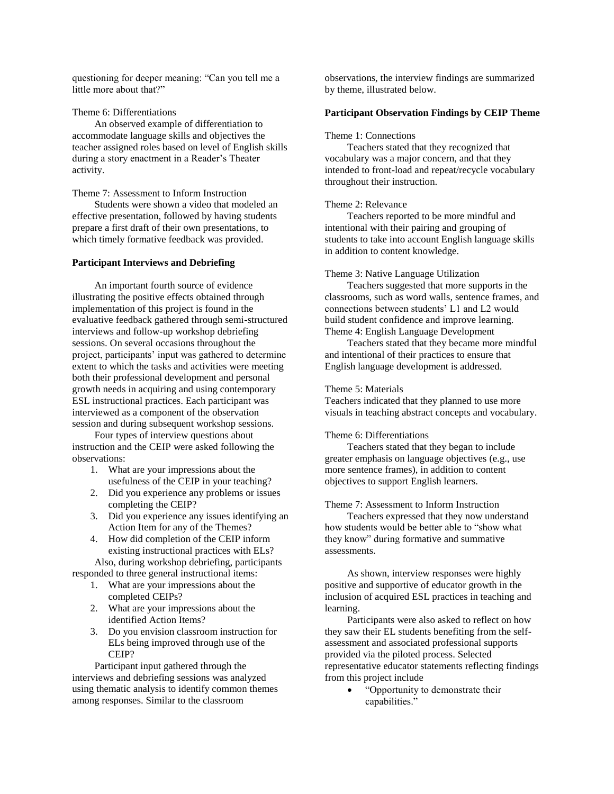questioning for deeper meaning: "Can you tell me a little more about that?"

Theme 6: Differentiations

An observed example of differentiation to accommodate language skills and objectives the teacher assigned roles based on level of English skills during a story enactment in a Reader's Theater activity.

Theme 7: Assessment to Inform Instruction

Students were shown a video that modeled an effective presentation, followed by having students prepare a first draft of their own presentations, to which timely formative feedback was provided.

#### **Participant Interviews and Debriefing**

An important fourth source of evidence illustrating the positive effects obtained through implementation of this project is found in the evaluative feedback gathered through semi-structured interviews and follow-up workshop debriefing sessions. On several occasions throughout the project, participants' input was gathered to determine extent to which the tasks and activities were meeting both their professional development and personal growth needs in acquiring and using contemporary ESL instructional practices. Each participant was interviewed as a component of the observation session and during subsequent workshop sessions.

Four types of interview questions about instruction and the CEIP were asked following the observations:

- 1. What are your impressions about the usefulness of the CEIP in your teaching?
- 2. Did you experience any problems or issues completing the CEIP?
- 3. Did you experience any issues identifying an Action Item for any of the Themes?
- 4. How did completion of the CEIP inform existing instructional practices with ELs? Also, during workshop debriefing, participants

responded to three general instructional items:

- 1. What are your impressions about the completed CEIPs?
- 2. What are your impressions about the identified Action Items?
- 3. Do you envision classroom instruction for ELs being improved through use of the CEIP?

Participant input gathered through the interviews and debriefing sessions was analyzed using thematic analysis to identify common themes among responses. Similar to the classroom

observations, the interview findings are summarized by theme, illustrated below.

# **Participant Observation Findings by CEIP Theme**

#### Theme 1: Connections

Teachers stated that they recognized that vocabulary was a major concern, and that they intended to front-load and repeat/recycle vocabulary throughout their instruction.

# Theme 2: Relevance

Teachers reported to be more mindful and intentional with their pairing and grouping of students to take into account English language skills in addition to content knowledge.

#### Theme 3: Native Language Utilization

Teachers suggested that more supports in the classrooms, such as word walls, sentence frames, and connections between students' L1 and L2 would build student confidence and improve learning. Theme 4: English Language Development

Teachers stated that they became more mindful and intentional of their practices to ensure that English language development is addressed.

#### Theme 5: Materials

Teachers indicated that they planned to use more visuals in teaching abstract concepts and vocabulary.

# Theme 6: Differentiations

Teachers stated that they began to include greater emphasis on language objectives (e.g., use more sentence frames), in addition to content objectives to support English learners.

## Theme 7: Assessment to Inform Instruction

Teachers expressed that they now understand how students would be better able to "show what they know" during formative and summative assessments.

As shown, interview responses were highly positive and supportive of educator growth in the inclusion of acquired ESL practices in teaching and learning.

Participants were also asked to reflect on how they saw their EL students benefiting from the selfassessment and associated professional supports provided via the piloted process. Selected representative educator statements reflecting findings from this project include

• "Opportunity to demonstrate their capabilities."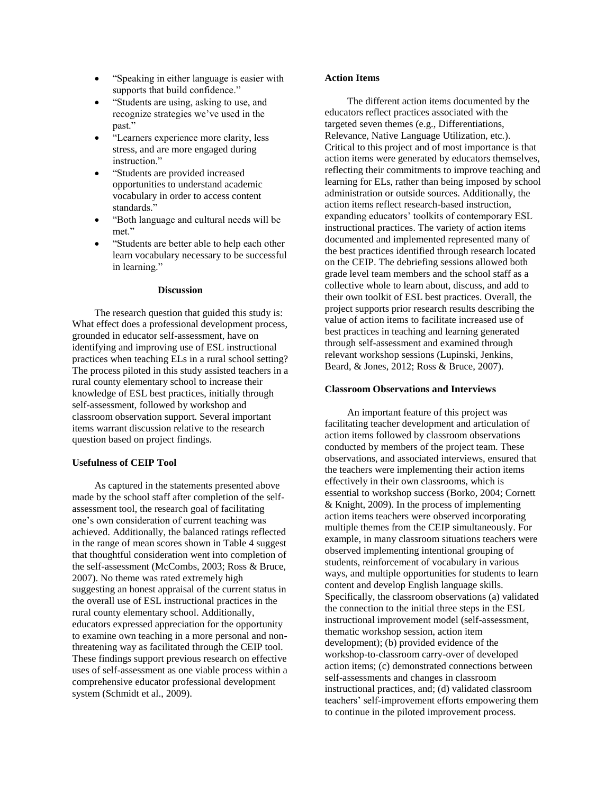- "Speaking in either language is easier with supports that build confidence."
- "Students are using, asking to use, and recognize strategies we've used in the past."
- "Learners experience more clarity, less stress, and are more engaged during instruction."
- "Students are provided increased opportunities to understand academic vocabulary in order to access content standards."
- "Both language and cultural needs will be met."
- "Students are better able to help each other learn vocabulary necessary to be successful in learning."

#### **Discussion**

The research question that guided this study is: What effect does a professional development process, grounded in educator self-assessment, have on identifying and improving use of ESL instructional practices when teaching ELs in a rural school setting? The process piloted in this study assisted teachers in a rural county elementary school to increase their knowledge of ESL best practices, initially through self-assessment, followed by workshop and classroom observation support. Several important items warrant discussion relative to the research question based on project findings.

# **Usefulness of CEIP Tool**

As captured in the statements presented above made by the school staff after completion of the selfassessment tool, the research goal of facilitating one's own consideration of current teaching was achieved. Additionally, the balanced ratings reflected in the range of mean scores shown in Table 4 suggest that thoughtful consideration went into completion of the self-assessment (McCombs, 2003; Ross & Bruce, 2007). No theme was rated extremely high suggesting an honest appraisal of the current status in the overall use of ESL instructional practices in the rural county elementary school. Additionally, educators expressed appreciation for the opportunity to examine own teaching in a more personal and nonthreatening way as facilitated through the CEIP tool. These findings support previous research on effective uses of self-assessment as one viable process within a comprehensive educator professional development system (Schmidt et al., 2009).

# **Action Items**

The different action items documented by the educators reflect practices associated with the targeted seven themes (e.g., Differentiations, Relevance, Native Language Utilization, etc.). Critical to this project and of most importance is that action items were generated by educators themselves, reflecting their commitments to improve teaching and learning for ELs, rather than being imposed by school administration or outside sources. Additionally, the action items reflect research-based instruction, expanding educators' toolkits of contemporary ESL instructional practices. The variety of action items documented and implemented represented many of the best practices identified through research located on the CEIP. The debriefing sessions allowed both grade level team members and the school staff as a collective whole to learn about, discuss, and add to their own toolkit of ESL best practices. Overall, the project supports prior research results describing the value of action items to facilitate increased use of best practices in teaching and learning generated through self-assessment and examined through relevant workshop sessions (Lupinski, Jenkins, Beard, & Jones, 2012; Ross & Bruce, 2007).

#### **Classroom Observations and Interviews**

An important feature of this project was facilitating teacher development and articulation of action items followed by classroom observations conducted by members of the project team. These observations, and associated interviews, ensured that the teachers were implementing their action items effectively in their own classrooms, which is essential to workshop success (Borko, 2004; Cornett & Knight, 2009). In the process of implementing action items teachers were observed incorporating multiple themes from the CEIP simultaneously. For example, in many classroom situations teachers were observed implementing intentional grouping of students, reinforcement of vocabulary in various ways, and multiple opportunities for students to learn content and develop English language skills. Specifically, the classroom observations (a) validated the connection to the initial three steps in the ESL instructional improvement model (self-assessment, thematic workshop session, action item development); (b) provided evidence of the workshop-to-classroom carry-over of developed action items; (c) demonstrated connections between self-assessments and changes in classroom instructional practices, and; (d) validated classroom teachers' self-improvement efforts empowering them to continue in the piloted improvement process.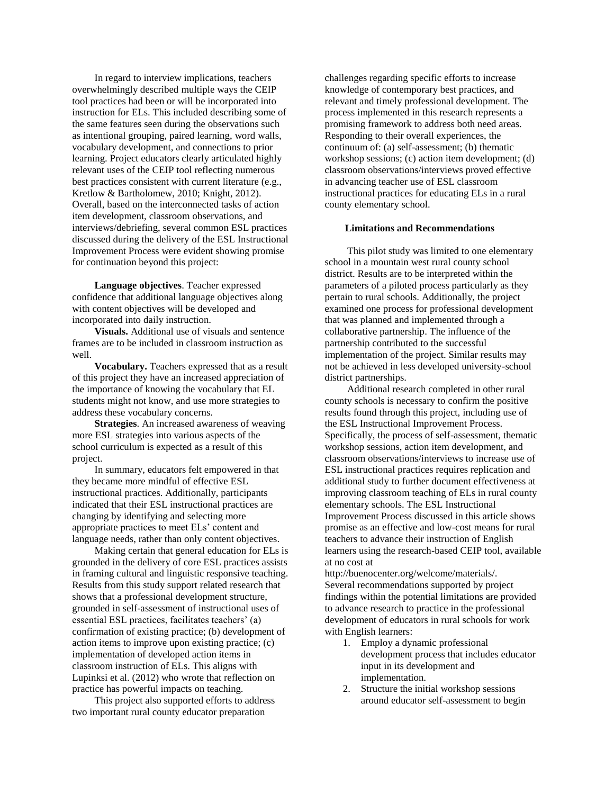In regard to interview implications, teachers overwhelmingly described multiple ways the CEIP tool practices had been or will be incorporated into instruction for ELs. This included describing some of the same features seen during the observations such as intentional grouping, paired learning, word walls, vocabulary development, and connections to prior learning. Project educators clearly articulated highly relevant uses of the CEIP tool reflecting numerous best practices consistent with current literature (e.g., Kretlow & Bartholomew, 2010; Knight, 2012). Overall, based on the interconnected tasks of action item development, classroom observations, and interviews/debriefing, several common ESL practices discussed during the delivery of the ESL Instructional Improvement Process were evident showing promise for continuation beyond this project:

**Language objectives**. Teacher expressed confidence that additional language objectives along with content objectives will be developed and incorporated into daily instruction.

**Visuals.** Additional use of visuals and sentence frames are to be included in classroom instruction as well.

**Vocabulary.** Teachers expressed that as a result of this project they have an increased appreciation of the importance of knowing the vocabulary that EL students might not know, and use more strategies to address these vocabulary concerns.

**Strategies**. An increased awareness of weaving more ESL strategies into various aspects of the school curriculum is expected as a result of this project.

In summary, educators felt empowered in that they became more mindful of effective ESL instructional practices. Additionally, participants indicated that their ESL instructional practices are changing by identifying and selecting more appropriate practices to meet ELs' content and language needs, rather than only content objectives.

Making certain that general education for ELs is grounded in the delivery of core ESL practices assists in framing cultural and linguistic responsive teaching. Results from this study support related research that shows that a professional development structure, grounded in self-assessment of instructional uses of essential ESL practices, facilitates teachers' (a) confirmation of existing practice; (b) development of action items to improve upon existing practice; (c) implementation of developed action items in classroom instruction of ELs. This aligns with Lupinksi et al. (2012) who wrote that reflection on practice has powerful impacts on teaching.

This project also supported efforts to address two important rural county educator preparation

challenges regarding specific efforts to increase knowledge of contemporary best practices, and relevant and timely professional development. The process implemented in this research represents a promising framework to address both need areas. Responding to their overall experiences, the continuum of: (a) self-assessment; (b) thematic workshop sessions; (c) action item development; (d) classroom observations/interviews proved effective in advancing teacher use of ESL classroom instructional practices for educating ELs in a rural county elementary school.

# **Limitations and Recommendations**

This pilot study was limited to one elementary school in a mountain west rural county school district. Results are to be interpreted within the parameters of a piloted process particularly as they pertain to rural schools. Additionally, the project examined one process for professional development that was planned and implemented through a collaborative partnership. The influence of the partnership contributed to the successful implementation of the project. Similar results may not be achieved in less developed university-school district partnerships.

Additional research completed in other rural county schools is necessary to confirm the positive results found through this project, including use of the ESL Instructional Improvement Process. Specifically, the process of self-assessment, thematic workshop sessions, action item development, and classroom observations/interviews to increase use of ESL instructional practices requires replication and additional study to further document effectiveness at improving classroom teaching of ELs in rural county elementary schools. The ESL Instructional Improvement Process discussed in this article shows promise as an effective and low-cost means for rural teachers to advance their instruction of English learners using the research-based CEIP tool, available at no cost at

http://buenocenter.org/welcome/materials/. Several recommendations supported by project findings within the potential limitations are provided to advance research to practice in the professional development of educators in rural schools for work with English learners:

- 1. Employ a dynamic professional development process that includes educator input in its development and implementation.
- 2. Structure the initial workshop sessions around educator self-assessment to begin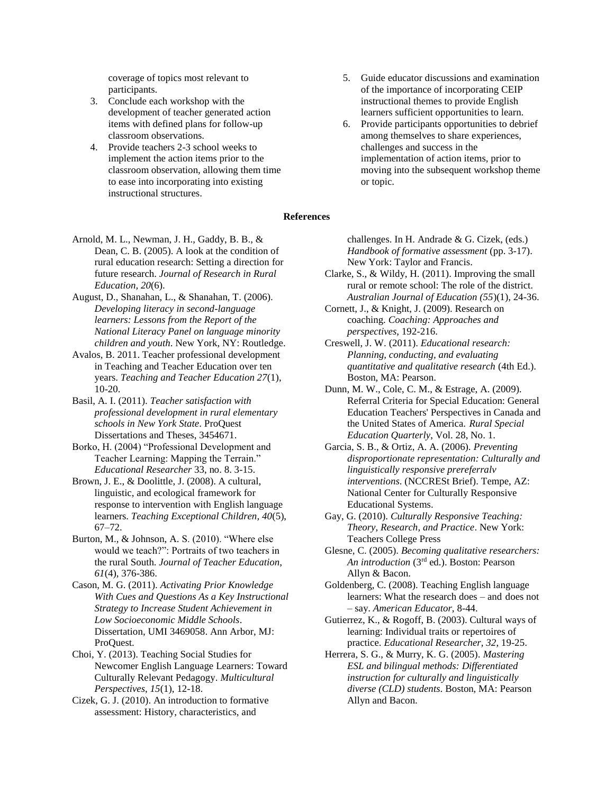coverage of topics most relevant to participants.

- 3. Conclude each workshop with the development of teacher generated action items with defined plans for follow-up classroom observations.
- 4. Provide teachers 2-3 school weeks to implement the action items prior to the classroom observation, allowing them time to ease into incorporating into existing instructional structures.
- 5. Guide educator discussions and examination of the importance of incorporating CEIP instructional themes to provide English learners sufficient opportunities to learn.
- 6. Provide participants opportunities to debrief among themselves to share experiences, challenges and success in the implementation of action items, prior to moving into the subsequent workshop theme or topic.

# **References**

- Arnold, M. L., Newman, J. H., Gaddy, B. B., & Dean, C. B. (2005). A look at the condition of rural education research: Setting a direction for future research. *Journal of Research in Rural Education, 20*(6).
- August, D., Shanahan, L., & Shanahan, T. (2006). *Developing literacy in second-language learners: Lessons from the Report of the National Literacy Panel on language minority children and youth*. New York, NY: Routledge.
- Avalos, B. 2011. Teacher professional development in Teaching and Teacher Education over ten years. *Teaching and Teacher Education 27*(1), 10-20.
- Basil, A. I. (2011). *Teacher satisfaction with professional development in rural elementary schools in New York State*. ProQuest Dissertations and Theses, 3454671.
- Borko, H. (2004) "Professional Development and Teacher Learning: Mapping the Terrain." *Educational Researcher* 33, no. 8. 3-15.
- Brown, J. E., & Doolittle, J. (2008). A cultural, linguistic, and ecological framework for response to intervention with English language learners. *Teaching Exceptional Children, 40*(5), 67–72.
- Burton, M., & Johnson, A. S. (2010). "Where else would we teach?": Portraits of two teachers in the rural South. *Journal of Teacher Education, 61*(4), 376-386.
- Cason, M. G. (2011). *Activating Prior Knowledge With Cues and Questions As a Key Instructional Strategy to Increase Student Achievement in Low Socioeconomic Middle Schools*. Dissertation, UMI 3469058. Ann Arbor, MJ: ProQuest.
- Choi, Y. (2013). Teaching Social Studies for Newcomer English Language Learners: Toward Culturally Relevant Pedagogy. *Multicultural Perspectives*, *15*(1), 12-18.
- Cizek, G. J. (2010). An introduction to formative assessment: History, characteristics, and

challenges. In H. Andrade & G. Cizek, (eds.) *Handbook of formative assessment* (pp. 3-17). New York: Taylor and Francis.

- Clarke, S., & Wildy, H. (2011). Improving the small rural or remote school: The role of the district. *Australian Journal of Education (55*)(1), 24-36.
- Cornett, J., & Knight, J. (2009). Research on coaching. *Coaching: Approaches and perspectives*, 192-216.
- Creswell, J. W. (2011). *Educational research: Planning, conducting, and evaluating quantitative and qualitative research* (4th Ed.). Boston, MA: Pearson.
- Dunn, M. W., Cole, C. M., & Estrage, A. (2009). Referral Criteria for Special Education: General Education Teachers' Perspectives in Canada and the United States of America. *Rural Special Education Quarterly*, Vol. 28, No. 1.
- Garcia, S. B., & Ortiz, A. A. (2006). *Preventing disproportionate representation: Culturally and linguistically responsive prereferralv interventions*. (NCCRESt Brief). Tempe, AZ: National Center for Culturally Responsive Educational Systems.
- Gay, G. (2010). *Culturally Responsive Teaching: Theory, Research, and Practice*. New York: Teachers College Press
- Glesne, C. (2005). *Becoming qualitative researchers: An introduction* (3rd ed.). Boston: Pearson Allyn & Bacon.
- Goldenberg, C. (2008). Teaching English language learners: What the research does – and does not – say. *American Educator*, 8-44.
- Gutierrez, K., & Rogoff, B. (2003). Cultural ways of learning: Individual traits or repertoires of practice. *Educational Researcher, 32*, 19-25.
- Herrera, S. G., & Murry, K. G. (2005). *Mastering ESL and bilingual methods: Differentiated instruction for culturally and linguistically diverse (CLD) students*. Boston, MA: Pearson Allyn and Bacon.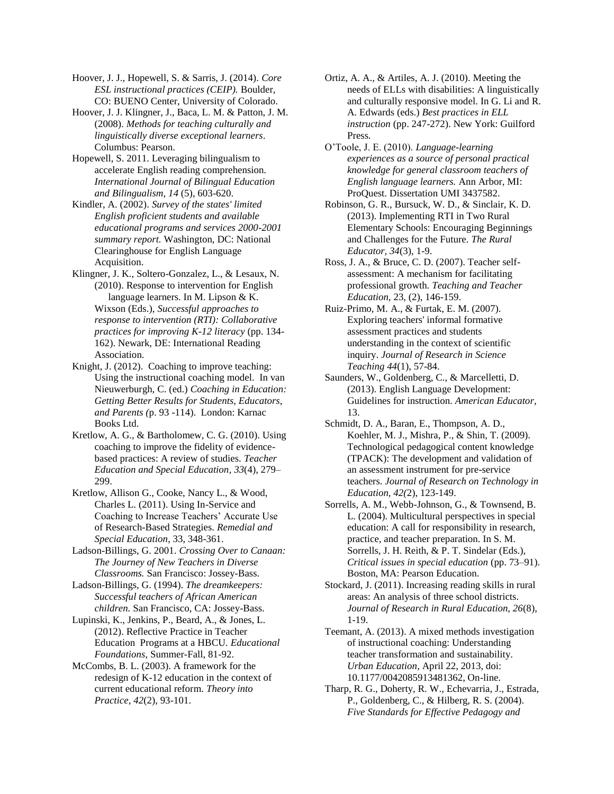Hoover, J. J., Hopewell, S. & Sarris, J. (2014). *Core ESL instructional practices (CEIP).* Boulder, CO: BUENO Center, University of Colorado.

Hoover, J. J. Klingner, J., Baca, L. M. & Patton, J. M. (2008). *Methods for teaching culturally and linguistically diverse exceptional learners*. Columbus: Pearson.

Hopewell, S. 2011. Leveraging bilingualism to accelerate English reading comprehension. *International Journal of Bilingual Education and Bilingualism*, *14* (5), 603-620.

Kindler, A. (2002). *Survey of the states' limited English proficient students and available educational programs and services 2000-2001 summary report.* Washington, DC: National Clearinghouse for English Language Acquisition.

Klingner, J. K., Soltero-Gonzalez, L., & Lesaux, N. (2010). Response to intervention for English language learners. In M. Lipson & K. Wixson (Eds.), *Successful approaches to response to intervention (RTI): Collaborative practices for improving K-12 literacy* (pp. 134- 162). Newark, DE: International Reading Association.

Knight, J. (2012). Coaching to improve teaching: Using the instructional coaching model. In van Nieuwerburgh, C. (ed.) *Coaching in Education: Getting Better Results for Students, Educators, and Parents (*p. 93 -114). London: Karnac Books Ltd.

Kretlow, A. G., & Bartholomew, C. G. (2010). Using coaching to improve the fidelity of evidencebased practices: A review of studies. *Teacher Education and Special Education*, *33*(4), 279– 299.

Kretlow, Allison G., Cooke, Nancy L., & Wood, Charles L. (2011). Using In-Service and Coaching to Increase Teachers' Accurate Use of Research-Based Strategies. *Remedial and Special Education*, 33, 348-361.

Ladson-Billings, G. 2001. *Crossing Over to Canaan: The Journey of New Teachers in Diverse Classrooms.* San Francisco: Jossey-Bass.

Ladson-Billings, G. (1994). *The dreamkeepers: Successful teachers of African American children.* San Francisco, CA: Jossey-Bass.

Lupinski, K., Jenkins, P., Beard, A., & Jones, L. (2012). Reflective Practice in Teacher Education Programs at a HBCU. *Educational Foundations*, Summer-Fall, 81-92.

McCombs, B. L. (2003). A framework for the redesign of K-12 education in the context of current educational reform. *Theory into Practice*, *42*(2), 93-101.

Ortiz, A. A., & Artiles, A. J. (2010). Meeting the needs of ELLs with disabilities: A linguistically and culturally responsive model. In G. Li and R. A. Edwards (eds.) *Best practices in ELL instruction* (pp. 247-272). New York: Guilford Press.

O'Toole, J. E. (2010). *Language-learning experiences as a source of personal practical knowledge for general classroom teachers of English language learners.* Ann Arbor, MI: ProQuest. Dissertation UMI 3437582.

Robinson, G. R., Bursuck, W. D., & Sinclair, K. D. (2013). Implementing RTI in Two Rural Elementary Schools: Encouraging Beginnings and Challenges for the Future. *The Rural Educator, 34*(3), 1-9.

Ross, J. A., & Bruce, C. D. (2007). Teacher selfassessment: A mechanism for facilitating professional growth. *Teaching and Teacher Education,* 23, (2), 146-159.

Ruiz-Primo, M. A., & Furtak, E. M. (2007). Exploring teachers' informal formative assessment practices and students understanding in the context of scientific inquiry. *Journal of Research in Science Teaching 44*(1), 57-84.

Saunders, W., Goldenberg, C., & Marcelletti, D. (2013). English Language Development: Guidelines for instruction. *American Educator*, 13.

Schmidt, D. A., Baran, E., Thompson, A. D., Koehler, M. J., Mishra, P., & Shin, T. (2009). Technological pedagogical content knowledge (TPACK): The development and validation of an assessment instrument for pre-service teachers. *Journal of Research on Technology in Education, 42(*2), 123-149.

Sorrells, A. M., Webb-Johnson, G., & Townsend, B. L. (2004). Multicultural perspectives in special education: A call for responsibility in research, practice, and teacher preparation. In S. M. Sorrells, J. H. Reith, & P. T. Sindelar (Eds.), *Critical issues in special education* (pp. 73–91). Boston, MA: Pearson Education.

Stockard, J. (2011). Increasing reading skills in rural areas: An analysis of three school districts. *Journal of Research in Rural Education, 26*(8), 1-19.

Teemant, A. (2013). A mixed methods investigation of instructional coaching: Understanding teacher transformation and sustainability. *Urban Education*, April 22, 2013, doi: 10.1177/0042085913481362, On-line.

Tharp, R. G., Doherty, R. W., Echevarria, J., Estrada, P., Goldenberg, C., & Hilberg, R. S. (2004). *Five Standards for Effective Pedagogy and*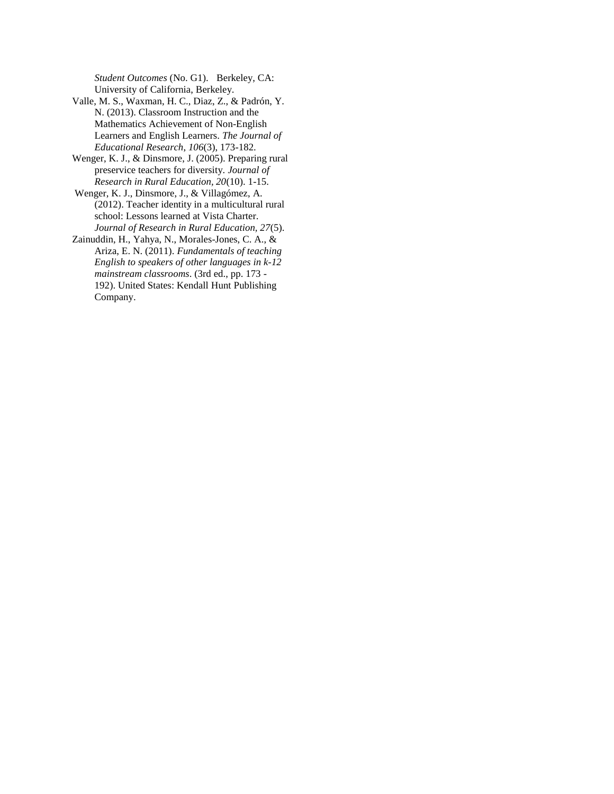*Student Outcomes* (No. G1). Berkeley, CA: University of California, Berkeley.

- Valle, M. S., Waxman, H. C., Diaz, Z., & Padrón, Y. N. (2013). Classroom Instruction and the Mathematics Achievement of Non-English Learners and English Learners. *The Journal of Educational Research*, *106*(3), 173-182.
- Wenger, K. J., & Dinsmore, J. (2005). Preparing rural preservice teachers for diversity. *Journal of Research in Rural Education, 20*(10). 1-15.
- Wenger, K. J., Dinsmore, J., & Villagómez, A. (2012). Teacher identity in a multicultural rural school: Lessons learned at Vista Charter. *Journal of Research in Rural Education, 27*(5).
- Zainuddin, H., Yahya, N., Morales-Jones, C. A., & Ariza, E. N. (2011). *Fundamentals of teaching English to speakers of other languages in k-12 mainstream classrooms*. (3rd ed., pp. 173 - 192). United States: Kendall Hunt Publishing Company.